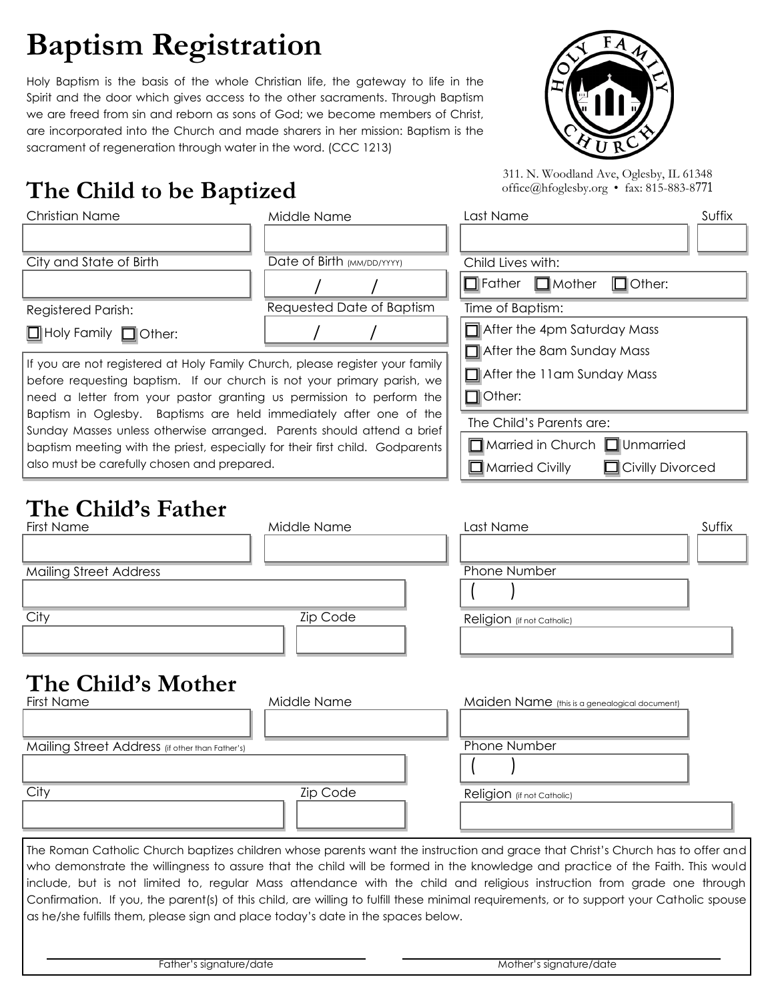# **Baptism Registration**

Holy Baptism is the basis of the whole Christian life, the gateway to life in the Spirit and the door which gives access to the other sacraments. Through Baptism we are freed from sin and reborn as sons of God; we become members of Christ, are incorporated into the Church and made sharers in her mission: Baptism is the sacrament of regeneration through water in the word. (CCC 1213)



## **The Child to be Baptized**

311. N. Woodland Ave, Oglesby, IL 61348 office@hfoglesby.org • fax: 815-883-8771

| <b>Christian Name</b>                                                                                                                                                                                                                                                                                                                                                                                                                                                                                           | Middle Name                | Last Name                                                                                                                                                                                                                                                                                                                                                                                                                                                                                                                                                          | Suffix |  |
|-----------------------------------------------------------------------------------------------------------------------------------------------------------------------------------------------------------------------------------------------------------------------------------------------------------------------------------------------------------------------------------------------------------------------------------------------------------------------------------------------------------------|----------------------------|--------------------------------------------------------------------------------------------------------------------------------------------------------------------------------------------------------------------------------------------------------------------------------------------------------------------------------------------------------------------------------------------------------------------------------------------------------------------------------------------------------------------------------------------------------------------|--------|--|
|                                                                                                                                                                                                                                                                                                                                                                                                                                                                                                                 |                            |                                                                                                                                                                                                                                                                                                                                                                                                                                                                                                                                                                    |        |  |
| City and State of Birth                                                                                                                                                                                                                                                                                                                                                                                                                                                                                         | Date of Birth (MM/DD/YYYY) | Child Lives with:                                                                                                                                                                                                                                                                                                                                                                                                                                                                                                                                                  |        |  |
|                                                                                                                                                                                                                                                                                                                                                                                                                                                                                                                 |                            | $\Box$ Father<br>$\Box$ Mother<br>$\Box$ Other:                                                                                                                                                                                                                                                                                                                                                                                                                                                                                                                    |        |  |
| <b>Registered Parish:</b>                                                                                                                                                                                                                                                                                                                                                                                                                                                                                       | Requested Date of Baptism  | Time of Baptism:                                                                                                                                                                                                                                                                                                                                                                                                                                                                                                                                                   |        |  |
| $\Box$ Holy Family $\Box$ Other:                                                                                                                                                                                                                                                                                                                                                                                                                                                                                |                            | $\Box$ After the 4pm Saturday Mass                                                                                                                                                                                                                                                                                                                                                                                                                                                                                                                                 |        |  |
| If you are not registered at Holy Family Church, please register your family<br>before requesting baptism. If our church is not your primary parish, we<br>need a letter from your pastor granting us permission to perform the<br>Baptism in Oglesby. Baptisms are held immediately after one of the<br>Sunday Masses unless otherwise arranged. Parents should attend a brief<br>baptism meeting with the priest, especially for their first child. Godparents<br>also must be carefully chosen and prepared. |                            | $\Box$ After the 8am Sunday Mass<br>$\Box$ After the 11am Sunday Mass<br>$\Box$ Other:<br>The Child's Parents are:<br>Married in Church I Unmarried<br>Civilly Divorced<br>$\Box$ Married Civilly                                                                                                                                                                                                                                                                                                                                                                  |        |  |
| The Child's Father<br><b>First Name</b><br><b>Mailing Street Address</b>                                                                                                                                                                                                                                                                                                                                                                                                                                        | Middle Name                | Last Name<br>Phone Number                                                                                                                                                                                                                                                                                                                                                                                                                                                                                                                                          | Suffix |  |
| City                                                                                                                                                                                                                                                                                                                                                                                                                                                                                                            | <b>Zip Code</b>            | Religion (if not Catholic)                                                                                                                                                                                                                                                                                                                                                                                                                                                                                                                                         |        |  |
| The Child's Mother<br><b>First Name</b><br>Mailing Street Address (if other than Father's)                                                                                                                                                                                                                                                                                                                                                                                                                      | Middle Name                | Maiden Name (this is a genealogical document)<br><b>Phone Number</b><br>A                                                                                                                                                                                                                                                                                                                                                                                                                                                                                          |        |  |
| City                                                                                                                                                                                                                                                                                                                                                                                                                                                                                                            | Zip Code                   | Religion (if not Catholic)                                                                                                                                                                                                                                                                                                                                                                                                                                                                                                                                         |        |  |
| as he/she fulfills them, please sign and place today's date in the spaces below.<br>Father's signature/date                                                                                                                                                                                                                                                                                                                                                                                                     |                            | The Roman Catholic Church baptizes children whose parents want the instruction and grace that Christ's Church has to offer and<br>who demonstrate the willingness to assure that the child will be formed in the knowledge and practice of the Faith. This would<br>include, but is not limited to, regular Mass attendance with the child and religious instruction from grade one through<br>Confirmation. If you, the parent(s) of this child, are willing to fulfill these minimal requirements, or to support your Catholic spouse<br>Mother's signature/date |        |  |